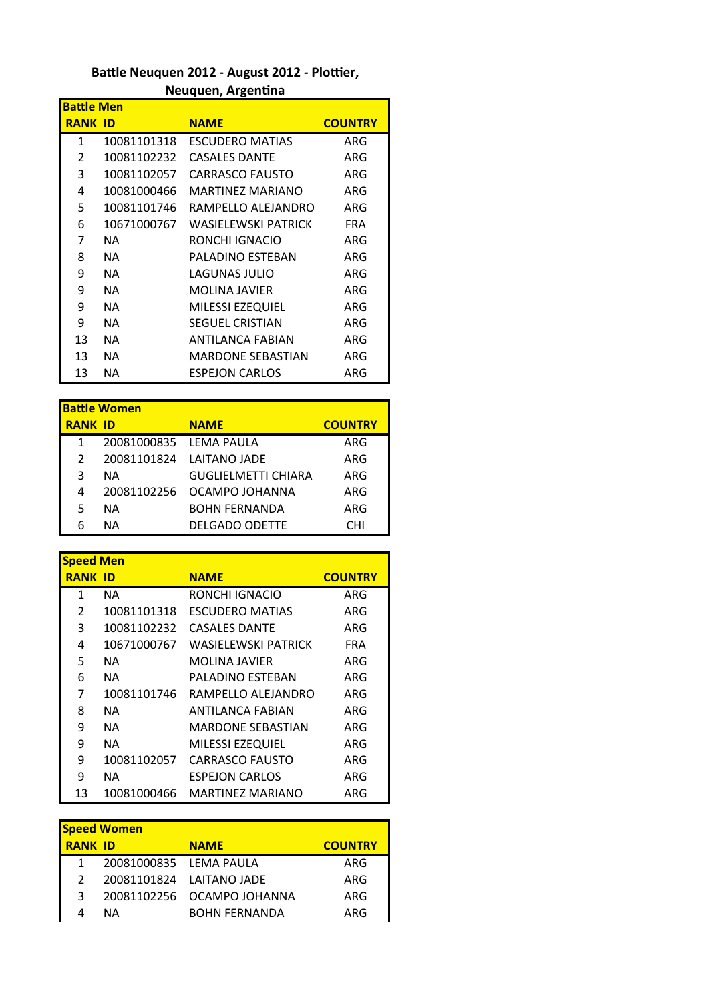## Battle Neuquen 2012 - August 2012 - Plottier, **Neuquen, Argentina**

| <b>Battle Men</b> |             |                          |                |
|-------------------|-------------|--------------------------|----------------|
| <b>RANK ID</b>    |             | <b>NAME</b>              | <b>COUNTRY</b> |
| 1                 | 10081101318 | <b>ESCUDERO MATIAS</b>   | ARG            |
| 2                 | 10081102232 | <b>CASALES DANTE</b>     | ARG            |
| 3                 | 10081102057 | <b>CARRASCO FAUSTO</b>   | ARG            |
| 4                 | 10081000466 | MARTINFZ MARIANO         | ARG            |
| 5                 | 10081101746 | RAMPFLLO ALFIANDRO       | ARG            |
| 6                 | 10671000767 | WASIELEWSKI PATRICK      | <b>FRA</b>     |
| 7                 | ΝA          | RONCHI IGNACIO           | ARG            |
| 8                 | ΝA          | PALADINO ESTEBAN         | ARG            |
| 9                 | ΝA          | <b>LAGUNAS JULIO</b>     | ARG            |
| 9                 | ΝA          | <b>MOLINA JAVIER</b>     | ARG            |
| 9                 | ΝA          | <b>MILESSI EZEQUIEL</b>  | ARG            |
| 9                 | ΝA          | <b>SEGUEL CRISTIAN</b>   | ARG            |
| 13                | NА          | ANTILANCA FABIAN         | ARG            |
| 13                | ΝA          | <b>MARDONE SEBASTIAN</b> | ARG            |
| 13                | ΝA          | <b>ESPEJON CARLOS</b>    | ARG            |

| <b>Battle Women</b> |                        |                            |                |
|---------------------|------------------------|----------------------------|----------------|
| <b>RANK ID</b>      |                        | <b>NAME</b>                | <b>COUNTRY</b> |
| 1                   | 20081000835 LEMA PAULA |                            | ARG            |
| 2                   |                        | 20081101824 LAITANO JADE   | ARG            |
| 3                   | ΝA                     | <b>GUGLIELMETTI CHIARA</b> | ARG            |
| 4                   | 20081102256            | OCAMPO JOHANNA             | ARG            |
| 5                   | ΝA                     | <b>BOHN FERNANDA</b>       | ARG            |
|                     | ΝA                     | <b>DELGADO ODETTE</b>      | CHI            |

| <b>Speed Men</b> |             |                         |                |
|------------------|-------------|-------------------------|----------------|
| <b>RANK ID</b>   |             | <b>NAME</b>             | <b>COUNTRY</b> |
| 1                | NA.         | RONCHI IGNACIO          | ARG            |
| 2                | 10081101318 | <b>FSCUDERO MATIAS</b>  | ARG            |
| 3                | 10081102232 | <b>CASALES DANTE</b>    | ARG            |
| 4                | 10671000767 | WASIFLFWSKI PATRICK     | <b>FRA</b>     |
| 5                | NA.         | <b>MOLINA JAVIER</b>    | ARG            |
| 6                | NA.         | PALADINO FSTFBAN        | ARG            |
| 7                | 10081101746 | RAMPELLO ALEJANDRO      | ARG            |
| 8                | NA.         | ANTILANCA FABIAN        | ARG            |
| 9                | NA.         | MARDONE SEBASTIAN       | ARG            |
| 9                | NA.         | <b>MILESSI EZEQUIEL</b> | ARG            |
| 9                | 10081102057 | <b>CARRASCO FAUSTO</b>  | ARG            |
| 9                | NA.         | <b>ESPEJON CARLOS</b>   | ARG            |
| 13               | 10081000466 | MARTINEZ MARIANO        | ARG            |

| <b>Speed Women</b> |                        |                            |                |
|--------------------|------------------------|----------------------------|----------------|
| <b>RANK ID</b>     |                        | <b>NAME</b>                | <b>COUNTRY</b> |
|                    | 20081000835 LEMA PAULA |                            | ARG            |
|                    |                        | 20081101824 LAITANO JADE   | ARG            |
|                    |                        | 20081102256 OCAMPO JOHANNA | ARG            |
|                    | ΝA                     | <b>BOHN FERNANDA</b>       | ARG            |